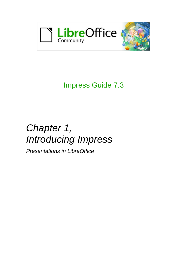

# Impress Guide 7.3

# *Chapter 1, Introducing Impress*

*Presentations in LibreOffice*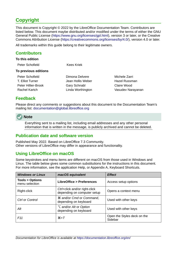# <span id="page-1-4"></span>**Copyright**

This document is Copyright © 2022 by the LibreOffice Documentation Team. Contributors are listed below. This document maybe distributed and/or modified under the terms of either the GNU General Public License (<https://www.gnu.org/licenses/gpl.html>), version 3 or later, or the Creative Commons Attribution License (<https://creativecommons.org/licenses/by/4.0/>), version 4.0 or later.

All trademarks within this guide belong to their legitimate owners.

### <span id="page-1-3"></span>**Contributors**

| To this edition<br>Peter Schofield  | Kees Kriek                          |                                |
|-------------------------------------|-------------------------------------|--------------------------------|
| To previous editions                |                                     |                                |
| Peter Schofield<br>T. Elliot Turner | Dimona Delvere<br>Jean Hollis Weber | Michele Zarri<br>Hazel Russman |
| Peter Hillier-Brook                 | <b>Gary Schnabl</b>                 | Claire Wood                    |
| Rachel Kartch                       | Linda Worthington                   | Vasudev Narayanan              |

### <span id="page-1-2"></span>**Feedback**

Please direct any comments or suggestions about this document to the Documentation Team's mailing list: [documentation@global.libreoffice.org](mailto:documentation@global.libreoffice.org)



Everything sent to a mailing list, including email addresses and any other personal information that is written in the message, is publicly archived and cannot be deleted.

### <span id="page-1-1"></span>**Publication date and software version**

Published May 2022. Based on LibreOffice 7.3 Community. Other versions of LibreOffice may differ in appearance and functionality.

### <span id="page-1-0"></span>**Using LibreOffice on macOS**

Some keystrokes and menu items are different on macOS from those used in Windows and Linux. The table below gives some common substitutions for the instructions in this document. For more information, see the application Help, or Appendix A, Keyboard Shortcuts.

| <b>Windows or Linux</b>                     | macOS equivalent                                              | <b>Effect</b>                          |
|---------------------------------------------|---------------------------------------------------------------|----------------------------------------|
| <b>Tools &gt; Options</b><br>menu selection | <b>LibreOffice &gt; Preferences</b>                           | Access setup options                   |
| Right-click                                 | Ctrl+click and/or right-click<br>depending on computer setup  | Opens a context menu                   |
| Ctrl or Control                             | <b>\%\</b> \% and/or Cmd or Command,<br>depending on keyboard | Used with other keys                   |
| Alt                                         | $\sum$ and/or Alt or Option<br>depending on keyboard          | Used with other keys                   |
| F <sub>11</sub>                             | $\mathcal{H} + \mathcal{T}$                                   | Open the Styles deck on the<br>Sidebar |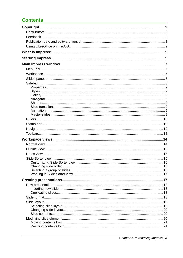## **Contents**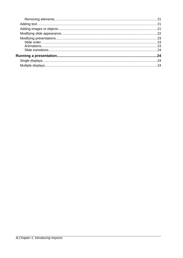| 24 |
|----|
|    |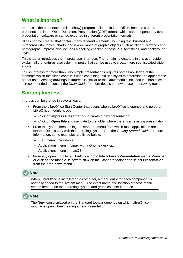## <span id="page-4-1"></span>**What is Impress?**

Impress is the presentation (slide show) program included in LibreOffice. Impress creates presentations in the Open Document Presentation (ODP) format, which can be opened by other presentation software or can be exported in different presentation formats.

Slides can be created that contain many different elements, including text, bulleted and numbered lists, tables, charts, and a wide range of graphic objects such as clipart, drawings and photographs. Impress also includes a spelling checker, a thesaurus, text styles, and background styles.

This chapter introduces the Impress user interface. The remaining chapters in this user guide explain all the features available in Impress that can be used to create more sophisticated slide shows.

To use Impress for more than very simple presentations requires some knowledge of the elements which the slides contain. Slides containing text use styles to determine the appearance of that text. Creating drawings in Impress is similar to the Draw module included in LibreOffice. It is recommended to consult the *Draw Guide* for more details on how to use the drawing tools.

### <span id="page-4-0"></span>**Starting Impress**

Impress can be started in several ways:

- From the LibreOffice Start Center that opens when LibreOffice is opened and no other LibreOffice module is open.
	- Click on **Impress Presentation** to create a new presentation;
	- Click on **Open File** and navigate to the folder where there is an existing presentation.
- From the system menu using the standard menu from which most applications are started. Details vary with the operating system. See the *Getting Started Guide* for more information, some examples are listed below:
	- Start menu in Windows.
	- Applications menu in Linux with a Gnome desktop.
	- Applications menu in macOS.
- From any open module of LibreOffice, go to **File > New > Presentation** on the Menu bar, or click on the triangle ▼ next to **New** on the Standard toolbar and select **Presentation** from the drop-down menu.

### **Note**

When LibreOffice is installed on a computer, a menu entry for each component is normally added to the system menu. The exact name and location of these menu entries depend on the operating system and graphical user interface.



The **New** icon displayed on the Standard toolbar depends on which LibreOffice module is open when creating a new presentation.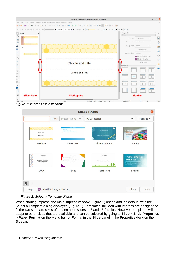

*Figure 1: Impress main window*

<span id="page-5-0"></span>

|                                                                                                    |                             |                                                                                                                                                                                                       | <b>Select a Template</b>                                  | $\Box$                                                                                                                                |
|----------------------------------------------------------------------------------------------------|-----------------------------|-------------------------------------------------------------------------------------------------------------------------------------------------------------------------------------------------------|-----------------------------------------------------------|---------------------------------------------------------------------------------------------------------------------------------------|
|                                                                                                    | Filter                      | Presentations<br>$\overline{\mathbf{v}}$                                                                                                                                                              | All Categories                                            | Manage $\blacktriangledown$<br>$\overline{\mathbf{v}}$                                                                                |
| Lorem Ipsum<br>Dolor Sit Amet                                                                      |                             | Loren Ipsum<br>- Choise oil server.<br>Concepting adipitality elit<br>· Vestlouten consequatint quic preturn cemper                                                                                   | Lorem Ipsum<br>Dribe eit smitt, concors<br>系              | <b>CANDY</b><br>TEMPLATE<br><b>BERTHER</b>                                                                                            |
| <b>Beehive</b>                                                                                     |                             | <b>Blue Curve</b>                                                                                                                                                                                     | <b>Blueprint Plans</b>                                    | Candy                                                                                                                                 |
| <b>Confederation</b><br>Loren Ipsun<br>Loren ipsum dolor sit arset,<br>consecretar adipiscing els. |                             | Lorem Ipsum<br>Lonom loourn dater sit amet.<br>Consociator adipisoni) etti<br>Vestibulum randosual nei quis prefium somper<br>Proin luctus anti ac neque venerustic<br>· Quis commedo dolor posizoni. | Lorem Ipsum<br>Dator sit amet, consectetur adqiscing elit | <b>Freshes Impress</b><br><b>Template</b><br>Linker Spaces dollar alt amar, con<br>dct, cad dia elazmod lampo<br>channe mygna alittaa |
| <b>DNA</b>                                                                                         |                             | <b>Focus</b>                                                                                                                                                                                          | Forestbird                                                | Freshes                                                                                                                               |
| 88<br>m                                                                                            |                             |                                                                                                                                                                                                       |                                                           |                                                                                                                                       |
| Help                                                                                               | Show this dialog at startup |                                                                                                                                                                                                       |                                                           | Close<br>Open                                                                                                                         |

<span id="page-5-1"></span>*Figure 2: Select a Template dialog*

When starting Impress, the main Impress window (Figure [1](#page-5-0)) opens and, as default, with the Select a Template dialog displayed (Figure [2](#page-5-1)). Templates included with Impress are designed to fit the two standard sizes of presentation slides: 4:3 and 16:9 ratios. However, templates will adapt to other sizes that are available and can be selected by going to **Slide > Slide Properties > Paper Format** on the Menu bar, or *Format* in the **Slide** panel in the Properties deck on the Sidebar.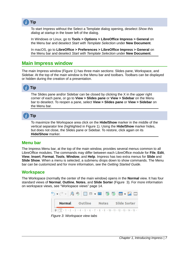

To start Impress without the Select a Template dialog opening, deselect *Show this dialog at startup* in the lower left of the dialog.

In Windows or Linux, go to **Tools > Options > LibreOffice Impress > General** on the Menu bar and deselect *Start with Template Selection* under **New Document**.

In macOS, go to **LibreOffice > Preferences > LibreOffice Impress > General** on the Menu bar and deselect *Start with Template Selection* under **New Document**.

### <span id="page-6-2"></span>**Main Impress window**

The main Impress window (Figure [1\)](#page-5-0) has three main sections: Slides pane, Workspace, and Sidebar. At the top of the main window is the Menu bar and toolbars. Toolbars can be displayed or hidden during the creation of a presentation.



The Slides pane and/or Sidebar can be closed by clicking the X in the upper right corner of each pane, or go to **View > Slides pane** or **View > Sidebar** on the Menu bar to deselect. To reopen a pane, select **View > Slides pane** or **View > Sidebar** on the Menu bar.



To maximize the Workspace area click on the **Hide/Show** marker in the middle of the vertical separator line (highlighted in Figure [1](#page-5-0)). Using the **Hide/Show** marker hides, but does not close, the Slides pane or Sidebar. To restore, click again on its **Hide/Show** marker.

### <span id="page-6-1"></span>**Menu bar**

The Impress Menu bar, at the top of the main window, provides several menus common to all LibreOffice modules. The commands may differ between each LibreOffice module for **File**, **Edit**, **View**, **Insert**, **Format**, **Tools**, **Window**, and **Help**. Impress has two extra menus for **Slide** and **Slide Show**. When a menu is selected, a submenu drops down to show commands. The Menu bar can be customized and for more information, see the *Getting Started Guide*.

### <span id="page-6-0"></span>**Workspace**

The Workspace (normally the center of the main window) opens in the **Normal** view. It has four standard views of **Normal**, **Outline**, **Notes**, and **Slide Sorter** (Figure [3\)](#page-6-3). For more information on workspace views, see "[Workspace views](#page-13-1)" page [14.](#page-13-1)

<span id="page-6-3"></span>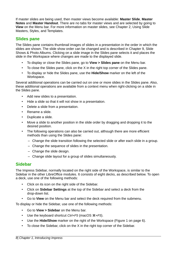If master slides are being used, then master views become available: **Master Slide**, **Master Notes** and **Master Handout**. There are no tabs for master views and are selected by going to **View** on the Menu bar. For more information on master slides, see Chapter 2, Using Slide Masters, Styles, and Templates.

### <span id="page-7-1"></span>**Slides pane**

The Slides pane contains thumbnail images of slides in a presentation in the order in which the slides are shown. The slide show order can be changed and is described in Chapter 9, Slide Shows & Photo Albums. Clicking on a slide image in the Slides pane selects it and places the slide in the Workspace where changes are made to the displayed slide.

- To display or close the Slides pane, go to **View > Slides pane** on the Menu bar.
- To close the Slides pane, click on the X in the right top corner of the Slides pane.
- To display or hide the Slides pane, use the **Hide/Show** marker on the left of the Workspace.

Several additional operations can be carried out on one or more slides in the Slides pane. Also, these additional operations are available from a context menu when right-clicking on a slide in the Slides pane.

- Add new slides to a presentation.
- Hide a slide so that it will not show in a presentation.
- Delete a slide from a presentation.
- Rename a slide.
- Duplicate a slide.
- Move a slide to another position in the slide order by dragging and dropping it to the desired position.
- The following operations can also be carried out, although there are more efficient methods than using the Slides pane:
	- Change the slide transition following the selected slide or after each slide in a group.
	- Change the sequence of slides in the presentation.
	- Change the slide design.
	- Change slide layout for a group of slides simultaneously.

### <span id="page-7-0"></span>**Sidebar**

The Impress Sidebar, normally located on the right side of the Workspace, is similar to the Sidebar in the other LibreOffice modules. It consists of eight decks, as described below. To open a deck, use one of the following methods:

- Click on its icon on the right side of the Sidebar.
- Click on **Sidebar Settings** at the top of the Sidebar and select a deck from the drop-down list.
- Go to **View** on the Menu bar and select the deck required from the submenu.

To display or hide the Sidebar, use one of the following methods:

- Go to **View > Sidebar** on the Menu bar.
- Use the keyboard shortcut *Ctrl+F5* (macOS ⌘*+F5*).
- Use the **Hide/Show** marker on the right of the Workspace (Figure [1](#page-5-0) on page [6](#page-5-0)).
- To close the Sidebar, click on the X in the right top corner of the Sidebar.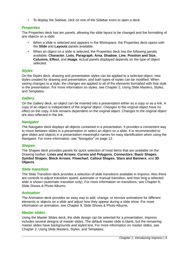• To display the Sidebar, click on one of the Sidebar icons to open a deck.

### <span id="page-8-7"></span>*Properties*

The Properties deck has ten panels, allowing the slide layout to be changed and the formatting of any objects on a slide.

- When a slide is selected and appears in the Workspace, the Properties deck opens with the **Slide** and **Layouts** panels available.
- When an object on a slide is selected, the Properties deck has the following panels available: **Character**, **Lists**, **Paragraph**, **Area**, **Shadow**, **Line**, **Position and Size**, **Columns**, **Effect**, and **Image**. Actual panels displayed depends on the type of object selected.

### <span id="page-8-6"></span>*Styles*

On the Styles deck, drawing and presentation styles can be applied to a selected object, new styles created for drawing and presentation, and both types of styles can be modified. When saving changes to a style, the changes are applied to all of the elements formatted with that style in the presentation. For more information on styles, see Chapter 2, Using Slide Masters, Styles, and Templates.

### <span id="page-8-5"></span>*Gallery*

On the Gallery deck, an object can be inserted into a presentation either as a copy or as a link. A copy of an object is independent of the original object. Changes to the original object have no effect on the copy. A link remains dependent on the original object. Changes to the original object are also reflected in the link.

### <span id="page-8-4"></span>*Navigator*

The Navigator deck displays all objects contained in a presentation. It provides a convenient way to move between slides in a presentation or select an object on a slide. It is recommended to give slides and objects in a presentation meaningful names for easy identification when using the Navigator. For more information, see ["Navigator](#page-11-1)" on page [12](#page-11-1).

### <span id="page-8-3"></span>*Shapes*

The Shapes deck provides panels for quick selection of most items that are available on the Drawing toolbar: **Lines and Arrows**, **Curves and Polygons**, **Connectors**, **Basic Shapes**, **Symbol Shapes**, **Block Arrows**, **Flowchart**, **Callout Shapes**, **Stars and Banners**, and **3D Objects**.

### <span id="page-8-2"></span>*Slide transition*

The Slide Transition deck provides a selection of slide transitions available in Impress. Also there are controls to adjust transition speed, automatic or manual transition, and how long a selected slide is shown (automatic transition only). For more information on transitions, see Chapter 9, Slide Shows & Photo Albums.

### <span id="page-8-0"></span>*Animation*

The Animation deck provides an easy way to add, change, or remove animations for different elements or objects on a slide and adjust how they appear during a slide show. For more information on animation, see Chapter 9, Slide Shows & Photo Albums.

### <span id="page-8-1"></span>*Master slides*

Using the Master Slides deck, the slide design can be selected for a presentation. Impress includes several designs of master slides. The default master slide is blank, but the remaining master slides have backgrounds and styled text. For more information on master slides, see Chapter 2, Using Slide Masters, Styles, and Templates.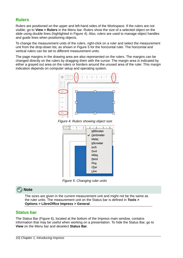### <span id="page-9-1"></span>**Rulers**

Rulers are positioned on the upper and left-hand sides of the Workspace. If the rulers are not visible, go to **View > Rulers** in the Menu bar. Rulers show the size of a selected object on the slide using double lines (highlighted in Figure [4\)](#page-9-3). Also, rulers are used to manage object handles and guide lines when positioning objects.

To change the measurement units of the rulers, right-click on a ruler and select the measurement unit from the drop-down list, as shown in Figure [5](#page-9-2) for the horizontal ruler. The horizontal and vertical rulers can be set to different measurement units.

The page margins in the drawing area are also represented on the rulers. The margins can be changed directly on the rulers by dragging them with the cursor. The margin area is indicated by either a grayed out area on the rulers or borders around the unused area of the ruler. This margin indication depends on computer setup and operating system.



*Figure 4: Rulers showing object size*

<span id="page-9-3"></span>

<span id="page-9-2"></span>*Figure 5: Changing ruler units*

### **Note**

The sizes are given in the current measurement unit and might not be the same as the ruler units. The measurement unit on the Status bar is defined in **Tools > Options > LibreOffice Impress > General**.

### <span id="page-9-0"></span>**Status bar**

The Status Bar (Figure [6](#page-10-0)), located at the bottom of the Impress main window, contains information that may be useful when working on a presentation. To hide the Status Bar, go to **View** on the Menu bar and deselect **Status Bar**.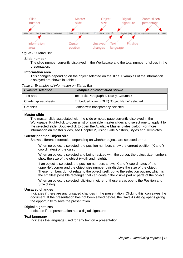

#### *Figure 6: Status Bar*

#### <span id="page-10-0"></span>**Slide number**

The slide number currently displayed in the Workspace and the total number of slides in the presentation.

#### **Information area**

This changes depending on the object selected on the slide. Examples of the information displayed are shown in Table [1](#page-10-1).

<span id="page-10-1"></span>*Table 1: Examples of information on Status Bar*

| <b>Example selection</b> | <b>Examples of information shown</b>        |
|--------------------------|---------------------------------------------|
| Text area                | Text Edit: Paragraph x, Row y, Column z     |
| Charts, spreadsheets     | Embedded object (OLE) "ObjectName" selected |
| Graphics                 | Bitmap with transparency selected           |

#### **Master slide**

The master slide associated with the slide or notes page currently displayed in the Workspace. Right-click to open a list of available master slides and select one to apply it to the selected slide. Double-click to open the Available Master Slides dialog. For more information on master slides, see Chapter 2, Using Slide Masters, Styles and Templates.

#### **Cursor position/Object size**

Shows different information depending on whether objects are selected or not.

- When no object is selected, the position numbers show the current position (X and Y coordinates) of the cursor.
- When an object is selected and being resized with the cursor, the object size numbers show the size of the object (width and height).
- If an object is selected, the position numbers shows X and Y coordinates of the upper-left corner and the object size number pair displays the size of the object. These numbers do not relate to the object itself, but to the selection outline, which is the smallest possible rectangle that can contain the visible part or parts of the object.
- When an object is selected, clicking in either of these areas opens the Position and Size dialog.

#### **Unsaved changes**

Indicates if there are any unsaved changes in the presentation. Clicking this icon saves the document. If the presentation has not been saved before, the Save As dialog opens giving the opportunity to save the presentation.

#### **Digital signatures**

Indicates if the presentation has a digital signature.

#### **Text language**

Indicates the language used for any text on a presentation.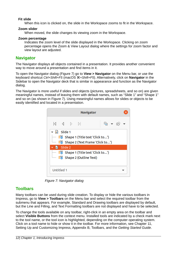### **Fit slide**

When this icon is clicked on, the slide in the Workspace zooms to fit in the Workspace.

#### **Zoom slider**

When moved, the slide changes its viewing zoom in the Workspace.

#### **Zoom percentage**

Indicates the zoom level of the slide displayed in the Workspace. Clicking on zoom percentage opens the Zoom & View Layout dialog where the settings for zoom factor and view layout are adjusted.

### <span id="page-11-1"></span>**Navigator**

The Navigator displays all objects contained in a presentation. It provides another convenient way to move around a presentation and find items in it.

To open the Navigator dialog (Figure [7](#page-11-2)) go to **View > Navigator** on the Menu bar, or use the keyboard shortcut *Ctrl+Shift+F5* (macOS ⌘*+Shift+F5*). Alternatively, click on **Navigator** in the Sidebar to open the Navigator deck that is similar in appearance and function as the Navigator dialog.

The Navigator is more useful if slides and objects (pictures, spreadsheets, and so on) are given meaningful names, instead of leaving them with default names, such as "Slide 1" and "Shape 1" and so on (as shown in Figure [7\)](#page-11-2). Using meaningful names allows for slides or objects to be easily identified and located in a presentation.

| <b>Navigator</b>                                                                                                                                                                                                                                                                                                                                                                                                                                                                          |        |
|-------------------------------------------------------------------------------------------------------------------------------------------------------------------------------------------------------------------------------------------------------------------------------------------------------------------------------------------------------------------------------------------------------------------------------------------------------------------------------------------|--------|
| $\begin{array}{ccccccccccccccccccccc} \multicolumn{4}{c}{} & \multicolumn{4}{c}{} & \multicolumn{4}{c}{} & \multicolumn{4}{c}{} & \multicolumn{4}{c}{} & \multicolumn{4}{c}{} & \multicolumn{4}{c}{} & \multicolumn{4}{c}{} & \multicolumn{4}{c}{} & \multicolumn{4}{c}{} & \multicolumn{4}{c}{} & \multicolumn{4}{c}{} & \multicolumn{4}{c}{} & \multicolumn{4}{c}{} & \multicolumn{4}{c}{} & \multicolumn{4}{c}{} & \multicolumn{4}{c}{} & \multicolumn{4}{c}{} & \multicolumn{4}{c}{}$ | ඉ ▼ හි |
| <del>-</del> b<br>Slide 1                                                                                                                                                                                                                                                                                                                                                                                                                                                                 |        |
| Shape 1 (Title text 'Click to')                                                                                                                                                                                                                                                                                                                                                                                                                                                           |        |
| Shape 2 (Text Frame 'Click to')                                                                                                                                                                                                                                                                                                                                                                                                                                                           |        |
| Slide 2<br>Ы                                                                                                                                                                                                                                                                                                                                                                                                                                                                              |        |
| Shape 1 (Title text 'Click to')                                                                                                                                                                                                                                                                                                                                                                                                                                                           |        |
| <b>I</b> <sub>O</sub> Shape 2 (Outline Text)                                                                                                                                                                                                                                                                                                                                                                                                                                              |        |
|                                                                                                                                                                                                                                                                                                                                                                                                                                                                                           |        |
| Untitled 1                                                                                                                                                                                                                                                                                                                                                                                                                                                                                |        |

<span id="page-11-2"></span>*Figure 7: Navigator dialog*

### <span id="page-11-0"></span>**Toolbars**

Many toolbars can be used during slide creation. To display or hide the various toolbars in Impress, go to **View > Toolbars** on the Menu bar and select the required toolbar from the submenu that appears. For example, Standard and Drawing toolbars are displayed by default, but the Line and Filling, and Text Formatting toolbars are not displayed and have to be selected.

To change the tools available on any toolbar, right-click in an empty area on the toolbar and select **Visible Buttons** from the context menu. Installed tools are indicated by a check mark next to the tool name, or the tool icon is highlighted, depending on the computer operating system. Click on a tool name to hide or show it in the toolbar. For more information, see Chapter 11, Setting Up and Customizing Impress, Appendix B, Toolbars, and the *Getting Started Guide*.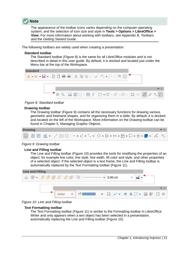

The appearance of the toolbar icons varies depending on the computer operating system, and the selection of icon size and style in **Tools > Options > LibreOffice > View**. For more information about working with toolbars, see Appendix B, Toolbars and the *Getting Started Guide*.

The following toolbars are widely used when creating a presentation:

#### **Standard toolbar**

The Standard toolbar (Figure [8\)](#page-12-2) is the same for all LibreOffice modules and is not described in detail in this user guide. By default, it is docked and located just under the Menu bar at the top of the Workspace.



*Figure 8: Standard toolbar*

#### **Drawing toolbar**

<span id="page-12-2"></span>The Drawing toolbar (Figure [9](#page-12-1)) contains all the necessary functions for drawing various geometric and freehand shapes, and for organizing them in a slide. By default, it is docked and located on the left of the Workspace. More information on the Drawing toolbar can be found in Chapter 5, Managing Graphic Objects.



#### *Figure 9: Drawing toolbar*

#### **Line and Filling toolbar**

<span id="page-12-1"></span>The Line and Filling toolbar (Figure [10](#page-12-0)) provides the tools for modifying the properties of an object, for example line color, line style, line width, fill color and style, and other properties of a selected object. If the selected object is a text frame, the Line and Filling toolbar is automatically replaced by the Text Formatting toolbar (Figure [11](#page-13-2)).



*Figure 10: Line and Filling toolbar*

#### <span id="page-12-0"></span>**Text Formatting toolbar**

The Text Formatting toolbar (Figure [11](#page-13-2)) is similar to the Formatting toolbar in LibreOffice Writer and only appears when a text object has been selected in a presentation, automatically replacing the Line and Filling toolbar (Figure [10](#page-12-0)).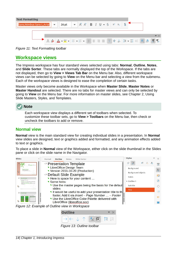

*Figure 11: Text Formatting toolbar*

### <span id="page-13-2"></span><span id="page-13-1"></span>**Workspace views**

The Impress workspace has four standard views selected using tabs: **Normal**, **Outline**, **Notes**, and **Slide Sorter**. These tabs are normally displayed the top of the Workspace. If the tabs are not displayed, then go to **View > Views Tab Bar** on the Menu bar. Also, different workspace views can be selected by going to **View** on the Menu bar and selecting a view from the submenu. Each of the workspace views is designed to ease the completion of certain tasks.

Master views only become available in the Workspace when **Master Slide**, **Master Notes** or **Master Handout** are selected. There are no tabs for master views and can only be selected by going to **View** on the Menu bar. For more information on master slides, see Chapter 2, Using Slide Masters, Styles, and Templates.



Each workspace view displays a different set of toolbars when selected. To customize these toolbar sets, go to **View > Toolbars** on the Menu bar, then check or uncheck the toolbars to add or remove.

### <span id="page-13-0"></span>**Normal view**

**Normal** view is the main standard view for creating individual slides in a presentation. In **Normal** view slides are designed, text or graphics added and formatted, and any animation effects added to text or graphics.

To place a slide in **Normal** view of the Workspace, either click on the slide thumbnail in the Slides pane or click on the slide name in the Navigator.



<span id="page-13-4"></span>

<span id="page-13-3"></span>*Figure 13: Outline toolbar*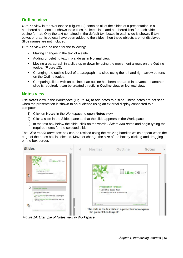### <span id="page-14-1"></span>**Outline view**

**Outline** view in the Workspace (Figure [12](#page-13-4)) contains all of the slides of a presentation in a numbered sequence. It shows topic titles, bulleted lists, and numbered lists for each slide in outline format. Only the text contained in the default text boxes in each slide is shown. If text boxes or graphic objects have been added to the slides, then these objects are not displayed. Slide names are not included.

**Outline** view can be used for the following:

- Making changes in the text of a slide.
- Adding or deleting text in a slide as in **Normal** view.
- Moving a paragraph in a slide up or down by using the movement arrows on the Outline toolbar (Figure [13](#page-13-3)).
- Changing the outline level of a paragraph in a slide using the left and right arrow buttons on the Outline toolbar.
- Comparing slides with an outline, if an outline has been prepared in advance. If another slide is required, it can be created directly in **Outline** view, or **Normal** view.

### <span id="page-14-0"></span>**Notes view**

Use **Notes** view in the Workspace (Figure [14](#page-14-2)) to add notes to a slide. These notes are not seen when the presentation is shown to an audience using an external display connected to a computer.

- 1) Click on **Notes** in the Workspace to open **Notes** view.
- 2) Click a slide in the Slides pane so that the slide appears in the Workspace.
- 3) In the text box below the slide, click on the words *Click to add notes* and begin typing the required notes for the selected slide.

The *Click to add notes* text box can be resized using the resizing handles which appear when the edge of the notes box is selected. Move or change the size of the box by clicking and dragging on the box border.

<span id="page-14-2"></span>

*Figure 14: Example of Notes view in Workspace*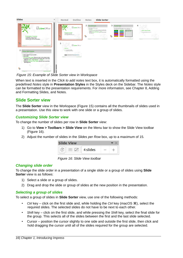| <b>Slides</b>                                                                                                                                                                                                                                                                                                                                                                                                                                                                                                                                                                                                                                 | $\times$<br>Outline<br>Normal                                                                                                                                                                                                                                                                                                                                   | <b>Slide Sorter</b><br><b>Notes</b>                                                                                                                                                                                                                                                                                                                                                                                              |                                                                                                                                                                                                                                                                                                                                 |                                                                           |
|-----------------------------------------------------------------------------------------------------------------------------------------------------------------------------------------------------------------------------------------------------------------------------------------------------------------------------------------------------------------------------------------------------------------------------------------------------------------------------------------------------------------------------------------------------------------------------------------------------------------------------------------------|-----------------------------------------------------------------------------------------------------------------------------------------------------------------------------------------------------------------------------------------------------------------------------------------------------------------------------------------------------------------|----------------------------------------------------------------------------------------------------------------------------------------------------------------------------------------------------------------------------------------------------------------------------------------------------------------------------------------------------------------------------------------------------------------------------------|---------------------------------------------------------------------------------------------------------------------------------------------------------------------------------------------------------------------------------------------------------------------------------------------------------------------------------|---------------------------------------------------------------------------|
| LibreOffice <sup>®</sup><br><b>Presentation Template</b><br>* LibreOffice Design Team<br>* Version 2011-10-20 (Production)<br>$\mathbb{R}$<br><b>Clubrectice</b><br><b><i>SACRA PALAWAY</i></b><br>$\overline{2}$<br>Detauft Slide Example<br>. Here is space for your content<br>· Same hints:<br>. Use the master pages being the basis for the debutt sides<br>. It would be useful to add your presentation tite to the footer.<br>Add It via Insert - Page Number  - Footer<br>. Use the LibreOffice Color Palette delivered with LibreOffice<br>(Ibreoffice.soc)<br>公<br><b><i><u>ULtreoffice</u></i></b><br>Like Cillus Profitable Spa | LibreOffice<br><b>Presentation Terradate</b><br>. Like Office Draige Trans<br>. Version 2003 36:30 (Ferdenburg)<br>rs.<br>Chancer House<br><b><i><u>International</u></i></b><br>5<br>LibreOffice <sup>®</sup><br>Thank you<br>. In manning this temp late !<br>. In comparing Line Offset<br>CHARLES PRODUCED WAS ARRESTED FOR DWOL.<br>Literature<br>-------- | $\overline{2}$<br>Default Site Domesin<br>. Here is space beyones mind<br>. Room bister<br>. Occurs would accomplish a distinguish the first of the definition of<br>. It would be useful to with your presentation to be to the funter.<br>Add to the lower . Page Remins  . Form<br>. Un a the Librar Office: Carlos Pole for distance disable Librar Office<br>the modification of<br>瓜<br><b>Change</b><br><b>STATISTICS</b> | 3<br><b>Pre-defined Shapes</b><br>He as we see as you de four al shape who your conserview as many<br>drawingers, copy the information or wear the LAO styles.<br><b>Deard give</b><br><b>The comment</b><br><b>Bellin</b><br>Despite<br><b>Purpo Strate</b><br><b>MacReti</b><br><b>Change</b><br><b>Contractor Contractor</b> | Sector Header Gorrigie<br>You may addeditional trailers<br><b>Channel</b> |

<span id="page-15-5"></span>*Figure 15: Example of Slide Sorter view in Workspace*

When text is inserted in the *Click to add notes* text box, it is automatically formatted using the predefined *Notes* style in **Presentation Styles** in the Styles deck on the Sidebar. The *Notes* style can be formatted to the presentation requirements. For more information, see Chapter 8, Adding and Formatting Slides, and Notes.

### <span id="page-15-3"></span>**Slide Sorter view**

The **Slide Sorter** view in the Workspace (Figure [15](#page-15-5)) contains all the thumbnails of slides used in a presentation. Use this view to work with one slide or a group of slides.

### <span id="page-15-2"></span>*Customizing Slide Sorter view*

To change the number of slides per row in **Slide Sorter** view:

- 1) Go to **View > Toolbars > Slide View** on the Menu bar to show the Slide View toolbar (Figure [16](#page-15-4)).
- 2) Adjust the number of slides in the *Slides per Row* box, up to a maximum of 15.

<span id="page-15-4"></span>

*Figure 16: Slide View toolbar*

### <span id="page-15-1"></span>*Changing slide order*

To change the slide order in a presentation of a single slide or a group of slides using **Slide Sorter** view is as follows:

- 1) Select a slide or a group of slides.
- 2) Drag and drop the slide or group of slides at the new position in the presentation.

### <span id="page-15-0"></span>*Selecting a group of slides*

To select a group of slides in **Slide Sorter** view, use one of the following methods:

- *Ctrl* key click on the first slide and, while holding the *Ctrl* key (macOS  $\mathcal{H}$ ), select the required slides. The selected slides do not have to be next to each other.
- *Shift* key click on the first slide, and while pressing the *Shift* key, select the final slide for the group. This selects all of the slides between the first and the last slide selected.
- Cursor position the cursor slightly to one side and outside the first slide, then click and hold dragging the cursor until all of the slides required for the group are selected.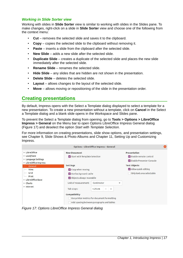### <span id="page-16-1"></span>*Working in Slide Sorter view*

Working with slides in **Slide Sorter** view is similar to working with slides in the Slides pane. To make changes, right-click on a slide in **Slide Sorter** view and choose one of the following from the context menu:

- **Cut** removes the selected slide and saves it to the clipboard.
- **Copy** copies the selected slide to the clipboard without removing it.
- **Paste** inserts a slide from the clipboard after the selected slide.
- **New Slide** adds a new slide after the selected slide.
- **Duplicate Slide** creates a duplicate of the selected slide and places the new slide immediately after the selected slide.
- **Rename Slide** renames the selected slide.
- **Hide Slide** any slides that are hidden are not shown in the presentation.
- **Delete Slide** deletes the selected slide.
- **Layout** allows changes to the layout of the selected slide.
- **Move** allows moving or repositioning of the slide in the presentation order.

### <span id="page-16-0"></span>**Creating presentations**

By default, Impress opens with the Select a Template dialog displayed to select a template for a new presentation. To create a new presentation without a template, click on **Cancel** in the Select a Template dialog and a blank slide opens in the Workspace and Slides pane.

To prevent the Select a Template dialog from opening, go to **Tools > Options > LibreOffice Impress > General** on the Menu bar to open Options LibreOffice Impress General dialog (Figure [17](#page-16-2)) and deselect the option *Start with Template Selection*.

For more information on creating presentations, slide show options, and presentation settings, see Chapter 9, Slide Shows & Photo Albums and Chapter 11, Setting Up and Customizing Impress.

|                                                                            |                                                                                                                                                        | <b>Options - LibreOffice Impress - General</b>                                                                                     |                                                                                |  |
|----------------------------------------------------------------------------|--------------------------------------------------------------------------------------------------------------------------------------------------------|------------------------------------------------------------------------------------------------------------------------------------|--------------------------------------------------------------------------------|--|
| LibreOffice<br>▶ Load/Save<br>▶ Language Settings<br>• LibreOffice Impress | <b>New Document</b><br>Start with Template Selection                                                                                                   |                                                                                                                                    | Presentation<br>Enable remote control<br>Enable Presenter Console              |  |
| General<br>View<br>Grid<br>Print<br>LibreOffice Base<br>Charts<br>Internet | <b>Settings</b><br>$\vee$ Copy when moving<br>V Use background cache<br>Objects always moveable<br>Unit of measurement:<br>Tab stops:<br>Compatibility | Centimeter<br>▼<br>$1.25$ cm<br>$^{+}$<br>Use printer metrics for document formatting<br>Add spacing between paragraphs and tables | <b>Text Objects</b><br>$\vee$ Allow quick editing<br>Only text area selectable |  |

<span id="page-16-2"></span>*Figure 17: Options LibreOffice Impress General dialog*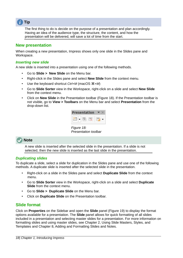

The first thing to do is decide on the purpose of a presentation and plan accordingly. Having an idea of the audience type, the structure, the content, and how the presentation will be delivered, will save a lot of time from the start.

### <span id="page-17-3"></span>**New presentation**

When creating a new presentation, Impress shows only one slide in the Slides pane and Workspace.

#### <span id="page-17-2"></span>*Inserting new slide*

A new slide is inserted into a presentation using one of the following methods.

- Go to **Slide > New Slide** on the Menu bar.
- Right-click in the Slides pane and select **New Slide** from the context menu.
- Use the keyboard shortcut *Ctrl+M* (macOS ⌘*+M*)
- Go to **Slide Sorter** view in the Workspace, right-click on a slide and select **New Slide** from the context menu.
- Click on **New Slide** in the Presentation toolbar (Figure [18\)](#page-17-4). If the Presentation toolbar is not visible, go to **View > Toolbars** on the Menu bar and select **Presentation** from the drop-down list.

<span id="page-17-4"></span>

*Figure 18: Presentation toolbar*

### **Note**

A new slide is inserted after the selected slide in the presentation. If a slide is not selected, then the new slide is inserted as the last slide in the presentation.

### <span id="page-17-1"></span>*Duplicating slides*

To duplicate a slide, select a slide for duplication in the Slides pane and use one of the following methods. A duplicate slide is inserted after the selected slide in the presentation.

- Right-click on a slide in the Slides pane and select **Duplicate Slide** from the context menu.
- Go to **Slide Sorter** view in the Workspace, right-click on a slide and select **Duplicate Slide** from the context menu.
- Go to **Slide > Duplicate Slide** on the Menu bar.
- Click on **Duplicate Slide** on the Presentation toolbar.

### <span id="page-17-0"></span>**Slide format**

Click on **Properties** on the Sidebar and open the **Slide** panel (Figure [19](#page-18-2)) to display the format options available for a presentation. The **Slide** panel allows for quick formatting of all slides included in a presentation and selecting master slides for a presentation. For more information on formatting slides and using master slides, see Chapter 2, Using Slide Masters, Styles, and Templates and Chapter 8, Adding and Formatting Slides and Notes.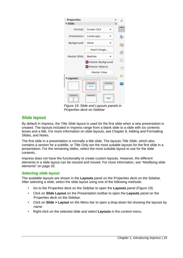| <b>Properties</b><br>v Slide |                    | $\times$<br>Ν | $=$                         |
|------------------------------|--------------------|---------------|-----------------------------|
| Format:                      | Screen 16:9        |               | ≠                           |
| Orientation:                 | Landscape          |               | $\mathcal{A}_{\mathscr{L}}$ |
| Background:                  | None               |               | E                           |
|                              | Insert Image       |               | $\vec{\boldsymbol{\beta}}$  |
| Master Slide:                | <b>Beehive</b>     |               |                             |
|                              | Master Background  |               |                             |
|                              | Master Objects     |               | €Γ                          |
|                              | <b>Master View</b> |               |                             |
| Layouts                      |                    |               | ☆                           |
|                              |                    |               |                             |
|                              |                    |               |                             |

<span id="page-18-2"></span>*Figure 19: Slide and Layouts panels in Properties deck on Sidebar*

### <span id="page-18-1"></span>**Slide layout**

By default in Impress, the *Title Slide* layout is used for the first slide when a new presentation is created. The layouts included in Impress range from a blank slide to a slide with six contents boxes and a title. For more information on slide layouts, see Chapter 8, Adding and Formatting Slides, and Notes.

The first slide in a presentation is normally a title slide. The layouts *Title Slide*, which also contains a section for a subtitle, or *Title Only* are the most suitable layouts for the first slide in a presentation. For the remaining slides, select the most suitable layout to use for the slide contents..

Impress does not have the functionality to create custom layouts. However, the different elements in a slide layout can be resized and moved. For more information, see ["Modifying slide](#page-19-0)  [elements"](#page-19-0) on page [20](#page-19-0).

### <span id="page-18-0"></span>*Selecting slide layout*

The available layouts are shown in the **Layouts** panel on the Properties deck on the Sidebar. After selecting a slide, select the slide layout using one of the following methods:

- Go to the Properties deck on the Sidebar to open the **Layouts** panel (Figure [19\)](#page-18-2).
- Click on **Slide Layout** on the Presentation toolbar to open the **Layouts** panel on the Properties deck on the Sidebar.
- Click on **Slide > Layout** on the Menu bar to open a drop-down list showing the layouts by name.
- Right-click on the selected slide and select **Layouts** in the context menu.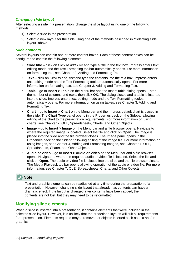### <span id="page-19-2"></span>*Changing slide layout*

After selecting a slide in a presentation, change the slide layout using one of the following methods:

- 1) Select a slide in the presentation.
- 2) Select a new layout for the slide using one of the methods described in "[Selecting slide](#page-18-0)  [layout](#page-18-0)" above.

#### <span id="page-19-1"></span>*Slide contents*

Several layouts can contain one or more content boxes. Each of these content boxes can be configured to contain the following elements:

- **Slide title** click on *Click to add Title* and type a title in the text box. Impress enters text editing mode and the Text Formatting toolbar automatically opens. For more information on formatting text, see Chapter 3, Adding and Formatting Text.
- **Text** click on *Click to add Text* and type the contents into the text box. Impress enters text editing mode and the Text Formatting toolbar automatically opens. For more information on formatting text, see Chapter 3, Adding and Formatting Text.
- **Table** go to **Insert > Table** on the Menu bar and the Insert Table dialog opens. Enter the number of columns and rows, then click **OK**. The dialog closes and a table is inserted into the slide. Impress enters text editing mode and the Text Formatting toolbar automatically opens. For more information on using tables, see Chapter 3, Adding and Formatting Text.
- **Chart** go to **Insert > Chart** on the Menu bar and the Impress default chart is placed in the slide. The **Chart Type** panel opens in the Properties deck on the Sidebar allowing editing of the chart to the presentation requirements. For more information on using charts, see Chapter 7, OLE, Spreadsheets, Charts, and Other Objects.
- **Image** go to **Insert > Image** on the Menu bar and a file browser opens. Navigate to where the required image is located. Select the file and click on **Open**. The image is placed into the slide and the file browser closes. The **Image** panel opens in the Properties deck on the Sidebar allowing editing of the image file. For more information on using images, see Chapter 4, Adding and Formatting Images, and Chapter 7, OLE, Spreadsheets, Charts, and Other Objects.
- **Audio or video** go to **Insert > Audio or Video** on the Menu bar and a file browser opens. Navigate to where the required audio or video file is located. Select the file and click on **Open**. The audio or video file is placed into the slide and the file browser closes. The Media Playback toolbar opens allowing operation of the audio or video file. For more information, see Chapter 7, OLE, Spreadsheets, Charts, and Other Objects.

### **Note**

Text and graphic elements can be readjusted at any time during the preparation of a presentation. However, changing slide layout that already has contents can have a dramatic effect. If the layout is changed after contents have been added, the contents are not lost, but they may need to be reformatted.

### <span id="page-19-0"></span>**Modifying slide elements**

When a slide is inserted into a presentation, it contains elements that were included in the selected slide layout. However, it is unlikely that the predefined layouts will suit all requirements for a presentation. Elements required maybe removed or objects inserted such as text and/or graphics.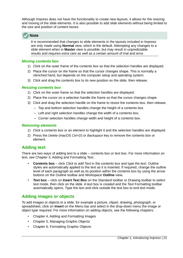Although Impress does not have the functionality to create new layouts, it allows for the resizing and moving of the slide elements. It is also possible to add slide elements without being limited to the size and position of content boxes.

### **Note**

It is recommended that changes to slide elements in the layouts included in Impress are only made using **Normal** view, which is the default. Attempting any changes to a slide element when in **Master** view is possible, but may result in unpredictable results and requires extra care as well as a certain amount of trial and error.

### <span id="page-20-1"></span>*Moving contents box*

- 1) Click on the outer frame of the contents box so that the selection handles are displayed.
- 2) Place the cursor on the frame so that the cursor changes shape. This is normally a clenched hand, but depends on the computer setup and operating system.
- 3) Click and drag the contents box to its new position on the slide, then release.

### <span id="page-20-0"></span>*Resizing contents box*

- 1) Click on the outer frame so that the selection handles are displayed.
- 2) Place the cursor on a selection handle the frame so that the cursor changes shape.
- 3) Click and drag the selection handle on the frame to resize the contents box, then release.
	- Top and bottom selection handles change the height of a contents box.
	- Left and right selection handles change the width of a contents box.
	- Corner selection handles change width and height of a contents box.

### <span id="page-20-4"></span>*Removing elements*

- 1) Click a contents box or an element to highlight it and the selection handles are displayed.
- 2) Press the *Delete* (macOS *Ctrl+D*) or *Backspace* key to remove the contents box or element.

### <span id="page-20-3"></span>**Adding text**

There are two ways of adding text to a slide – contents box or text box. For more information on text, see Chapter 3, Adding and Formatting Text.

- **Contents box** click *Click to add Text* in the contents box and type the text. Outline styles are automatically applied to the text as it is inserted. If required, change the outline level of each paragraph as well as its position within the contents box by using the arrow buttons on the Outline toolbar and Workspace **Outline** view.
- **Text box** click on **Insert Text Box** on the Standard toolbar or Drawing toolbar to select text mode, then click on the slide. A text box is created and the Text Formatting toolbar automatically opens. Type the text and click outside the text box to end text mode.

### <span id="page-20-2"></span>**Adding images or objects**

To add images or objects to a slide, for example a picture, clipart, drawing, photograph, or spreadsheet, click on **Insert** on the Menu bar and select in the drop-down menu the image or object type required. For more information on adding objects, see the following chapters:

- Chapter 4, Adding and Formatting Images
- Chapter 5, Managing Graphic Objects
- Chapter 6, Formatting Graphic Objects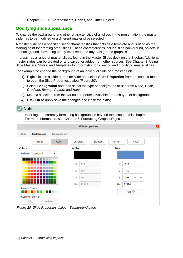• Chapter 7, OLE, Spreadsheets, Charts, and Other Objects

### <span id="page-21-0"></span>**Modifying slide appearance**

To change the background and other characteristics of all slides in the presentation, the master slide has to be modified or a different master slide selected.

A master slide has a specified set of characteristics that acts as a template and is used as the starting point for creating other slides. These characteristics include slide background, objects in the background, formatting of any text used, and any background graphics.

Impress has a range of master slides, found in the Master Slides deck on the Sidebar. Additional master slides can be created or and saved, or added from other sources. See Chapter 2, Using Slide Masters, Styles, and Templates for information on creating and modifying master slides.

For example, to change the background of an individual slide or a master slide:

- 1) Right click on a slide or master slide and select **Slide Properties** from the context menu to open the Slide Properties dialog (Figure [20](#page-21-1)).
- 2) Select **Background** and then select the type of background to use from *None*, *Color*, *Gradient*, *Bitmap*, *Pattern* and *Hatch*.
- 3) Make a selection from the various properties available for each type of background.
- 4) Click **OK** to apply save the changes and close the dialog.

### **Note**

Inserting and correctly formatting background is beyond the scope of this chapter. For more information, see Chapter 6, Formatting Graphic Objects.

|                       |                   |                      |               | <b>Slide Properties</b> |        |              |        |                   |        |
|-----------------------|-------------------|----------------------|---------------|-------------------------|--------|--------------|--------|-------------------|--------|
| Slide                 | <b>Background</b> | Transparency         |               |                         |        |              |        |                   |        |
|                       | None              | Color                | Gradient      |                         | Bitmap | Pattern      |        | Hatch             |        |
| <b>Colors</b>         |                   |                      | <b>Active</b> |                         |        | <b>New</b>   |        |                   |        |
| Palette:              | standard          | $\blacktriangledown$ |               |                         |        |              |        |                   |        |
|                       |                   |                      | $\mathsf{R}$  | 114                     |        | $\mathsf{R}$ | 114    | —                 | $^{+}$ |
|                       |                   |                      | G             | 159                     |        | G            | 159    | $\qquad \qquad -$ | $^{+}$ |
|                       |                   |                      | B             | 207                     |        | B            | 207    | —                 | $^{+}$ |
|                       |                   |                      | Hex           | 729fcf                  |        | Hex          | 729fcf |                   |        |
| <b>Recent Colors</b>  |                   |                      |               |                         |        |              |        |                   |        |
| <b>Custom Palette</b> |                   |                      |               |                         |        |              |        |                   |        |
| Add                   | Delete            |                      |               |                         |        |              |        |                   |        |

<span id="page-21-1"></span>*Figure 20: Slide Properties dialog - Background page*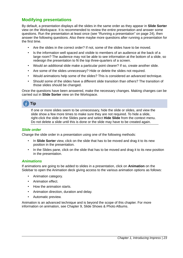### <span id="page-22-2"></span>**Modifying presentations**

By default, a presentation displays all the slides in the same order as they appear in **Slide Sorter** view on the Workspace. It is recommended to review the entire presentation and answer some questions. Run the presentation at least once (see "[Running a presentation"](#page-23-1) on page [24](#page-23-1)), then answer the following questions. Also there maybe more questions after running a presentation for the first time.

- Are the slides in the correct order? If not, some of the slides have to be moved.
- Is the information well spaced and visible to members of an audience at the back of a large room? The audience may not be able to see information at the bottom of a slide, so redesign the presentation to fit the top three-quarters of a screen.
- Would an additional slide make a particular point clearer? If so, create another slide.
- Are some of the slides unnecessary? Hide or delete the slides not required.
- Would animations help some of the slides? This is considered an advanced technique.
- Should some of the slides have a different slide transition than others? The transition of those slides should be changed.

Once the questions have been answered, make the necessary changes. Making changes can be carried out in **Slide Sorter** view on the Workspace.

# **Tip**

If one or more slides seem to be unnecessary, hide the slide or slides, and view the slide show a few more times to make sure they are not required. To hide a slide, right-click the slide in the Slides pane and select **Hide Slide** from the context menu. Do not delete a slide until this is done or the slide may have to be created again.

### <span id="page-22-1"></span>*Slide order*

Change the slide order in a presentation using one of the following methods:

- In **Slide Sorter** view, click on the slide that has to be moved and drag it to its new position in the presentation.
- In the Slides pane, click on the slide that has to be moved and drag it to its new position in the presentation.

### <span id="page-22-0"></span>*Animations*

If animations are going to be added to slides in a presentation, click on **Animation** on the Sidebar to open the Animation deck giving access to the various animation options as follows:

- Animation category.
- Animation effect.
- How the animation starts.
- Animation direction, duration and delay.
- Automatic preview.

Animation is an advanced technique and is beyond the scope of this chapter. For more information on animation, see Chapter 9, Slide Shows & Photo Albums.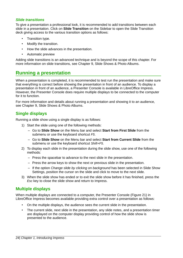### <span id="page-23-2"></span>*Slide transitions*

To give a presentation a professional look, it is recommended to add transitions between each slide in a presentation. Click on **Slide Transition** on the Sidebar to open the Slide Transition deck giving access to the various transition options as follows:

- Transition type.
- Modify the transition.
- How the slide advances in the presentation.
- Automatic preview

Adding slide transitions is an advanced technique and is beyond the scope of this chapter. For more information on slide transitions, see Chapter 9, Slide Shows & Photo Albums.

### <span id="page-23-1"></span>**Running a presentation**

When a presentation is completed, it is recommended to test run the presentation and make sure that everything is correct before showing the presentation in front of an audience. To display a presentation in front of an audience, a Presenter Console is available in LibreOffice Impress. However, the Presenter Console does require multiple displays to be connected to the computer for it to function.

For more information and details about running a presentation and showing it to an audience, see Chapter 9, Slide Shows & Photo Albums.

### <span id="page-23-0"></span>**Single displays**

Running a slide show using a single display is as follows:

- 1) Start the slide using one of the following methods:
	- Go to **Slide Show** on the Menu bar and select **Start from First Slide** from the submenu or use the keyboard shortcut *F5*.
	- Go to **Slide Show** on the Menu bar and select **Start from Current Slide** from the submenu or use the keyboard shortcut *Shift+F5*.
- 2) To display each slide in the presentation during the slide show, use one of the following methods:
	- Press the spacebar to advance to the next slide in the presentation.
	- Press the arrow keys to show the next or previous slide in the presentation.
	- If the option *Change slide by clicking on background* has been selected in Slide Show Settings, position the cursor on the slide and click to move to the next slide.
- 3) When the slide show has ended or to exit the slide show before it has finished, press the *Esc* key to close the slide show and return to Impress.

### <span id="page-23-3"></span>**Multiple displays**

When multiple displays are connected to a computer, the Presenter Console (Figure [21\)](#page-24-0) in LibreOffice Impress becomes available providing extra control over a presentation as follows:

- On the multiple displays, the audience sees the current slide in the presentation.
- The current slide, next slide in the presentation, any slide notes, and a presentation timer are displayed on the computer display providing control of how the slide show is presented to the audience.